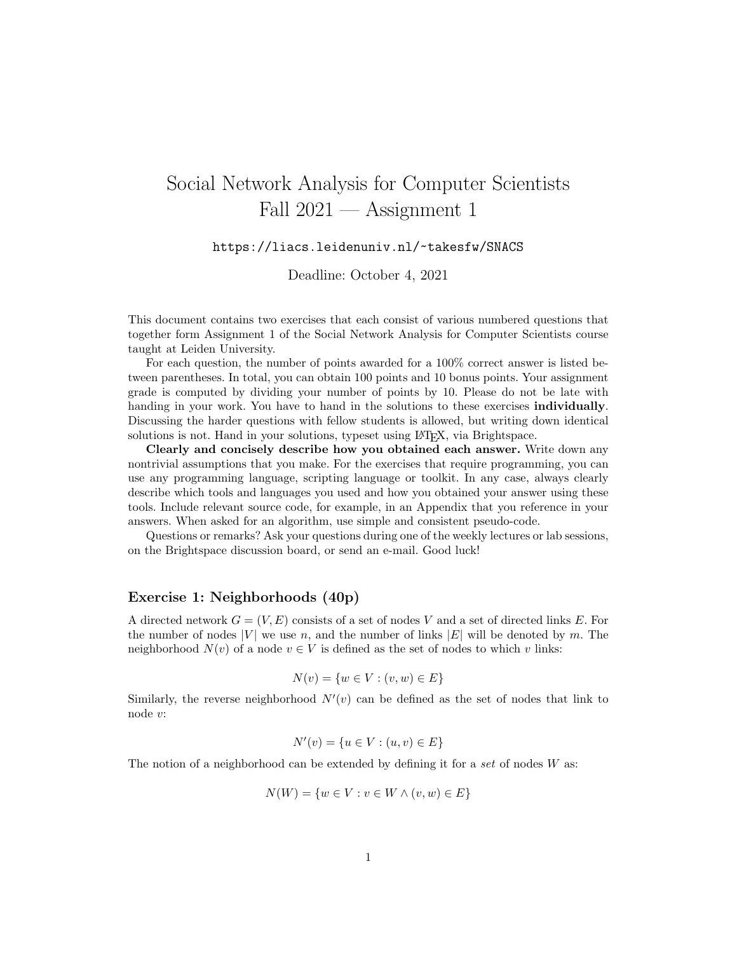## Social Network Analysis for Computer Scientists Fall  $2021$  — Assignment 1

## https://liacs.leidenuniv.nl/~takesfw/SNACS

Deadline: October 4, 2021

This document contains two exercises that each consist of various numbered questions that together form Assignment 1 of the Social Network Analysis for Computer Scientists course taught at Leiden University.

For each question, the number of points awarded for a 100% correct answer is listed between parentheses. In total, you can obtain 100 points and 10 bonus points. Your assignment grade is computed by dividing your number of points by 10. Please do not be late with handing in your work. You have to hand in the solutions to these exercises **individually**. Discussing the harder questions with fellow students is allowed, but writing down identical solutions is not. Hand in your solutions, typeset using LAT<sub>EX</sub>, via Brightspace.

Clearly and concisely describe how you obtained each answer. Write down any nontrivial assumptions that you make. For the exercises that require programming, you can use any programming language, scripting language or toolkit. In any case, always clearly describe which tools and languages you used and how you obtained your answer using these tools. Include relevant source code, for example, in an Appendix that you reference in your answers. When asked for an algorithm, use simple and consistent pseudo-code.

Questions or remarks? Ask your questions during one of the weekly lectures or lab sessions, on the Brightspace discussion board, or send an e-mail. Good luck!

## Exercise 1: Neighborhoods (40p)

A directed network  $G = (V, E)$  consists of a set of nodes V and a set of directed links E. For the number of nodes  $|V|$  we use n, and the number of links  $|E|$  will be denoted by m. The neighborhood  $N(v)$  of a node  $v \in V$  is defined as the set of nodes to which v links:

$$
N(v) = \{ w \in V : (v, w) \in E \}
$$

Similarly, the reverse neighborhood  $N'(v)$  can be defined as the set of nodes that link to node v:

$$
N'(v) = \{ u \in V : (u, v) \in E \}
$$

The notion of a neighborhood can be extended by defining it for a set of nodes  $W$  as:

$$
N(W) = \{ w \in V : v \in W \land (v, w) \in E \}
$$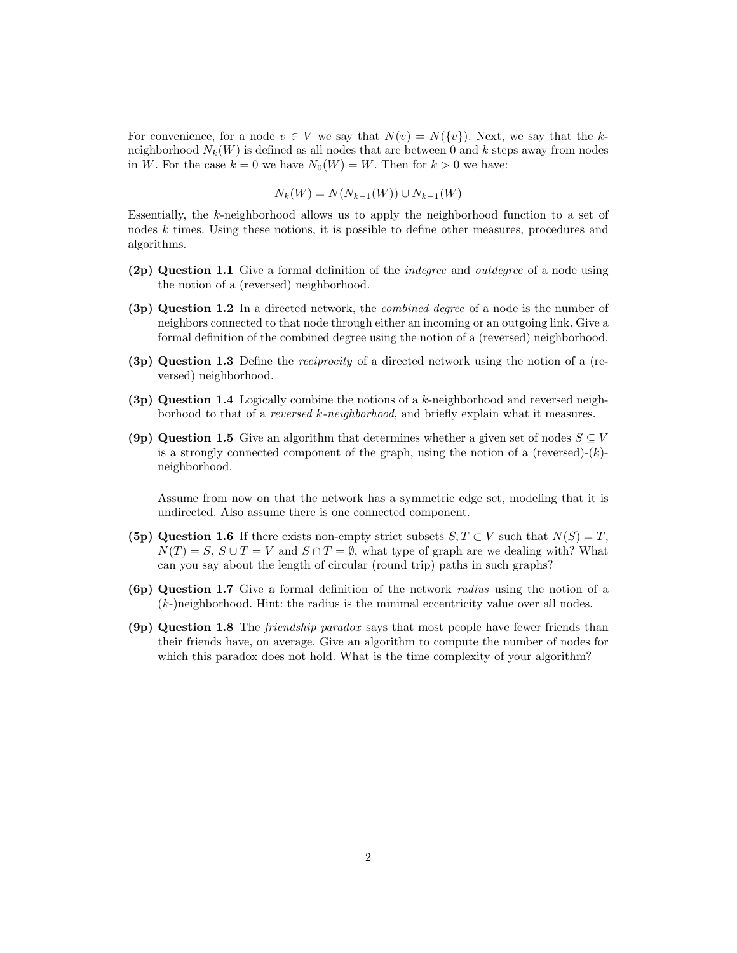For convenience, for a node  $v \in V$  we say that  $N(v) = N({v})$ . Next, we say that the kneighborhood  $N_k(W)$  is defined as all nodes that are between 0 and k steps away from nodes in W. For the case  $k = 0$  we have  $N_0(W) = W$ . Then for  $k > 0$  we have:

$$
N_k(W) = N(N_{k-1}(W)) \cup N_{k-1}(W)
$$

Essentially, the k-neighborhood allows us to apply the neighborhood function to a set of nodes k times. Using these notions, it is possible to define other measures, procedures and algorithms.

- (2p) Question 1.1 Give a formal definition of the indegree and outdegree of a node using the notion of a (reversed) neighborhood.
- (3p) Question 1.2 In a directed network, the combined degree of a node is the number of neighbors connected to that node through either an incoming or an outgoing link. Give a formal definition of the combined degree using the notion of a (reversed) neighborhood.
- (3p) Question 1.3 Define the reciprocity of a directed network using the notion of a (reversed) neighborhood.
- (3p) Question 1.4 Logically combine the notions of a k-neighborhood and reversed neighborhood to that of a reversed k-neighborhood, and briefly explain what it measures.
- (9p) Question 1.5 Give an algorithm that determines whether a given set of nodes  $S \subseteq V$ is a strongly connected component of the graph, using the notion of a (reversed)- $(k)$ neighborhood.

Assume from now on that the network has a symmetric edge set, modeling that it is undirected. Also assume there is one connected component.

- (5p) Question 1.6 If there exists non-empty strict subsets  $S, T \subset V$  such that  $N(S) = T$ ,  $N(T) = S$ ,  $S \cup T = V$  and  $S \cap T = \emptyset$ , what type of graph are we dealing with? What can you say about the length of circular (round trip) paths in such graphs?
- (6p) Question 1.7 Give a formal definition of the network radius using the notion of a  $(k-)$ neighborhood. Hint: the radius is the minimal eccentricity value over all nodes.
- (9p) Question 1.8 The friendship paradox says that most people have fewer friends than their friends have, on average. Give an algorithm to compute the number of nodes for which this paradox does not hold. What is the time complexity of your algorithm?